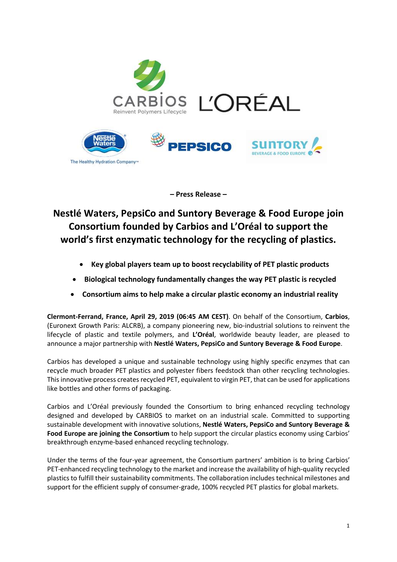

**– Press Release –**

# **Nestlé Waters, PepsiCo and Suntory Beverage & Food Europe join Consortium founded by Carbios and L'Oréal to support the world's first enzymatic technology for the recycling of plastics.**

- **Key global players team up to boost recyclability of PET plastic products**
- **Biological technology fundamentally changes the way PET plastic is recycled**
- **Consortium aims to help make a circular plastic economy an industrial reality**

**Clermont-Ferrand, France, April 29, 2019 (06:45 AM CEST)**. On behalf of the Consortium, **Carbios**, (Euronext Growth Paris: ALCRB), a company pioneering new, bio-industrial solutions to reinvent the lifecycle of plastic and textile polymers, and **L'Oréal**, worldwide beauty leader, are pleased to announce a major partnership with **Nestlé Waters, PepsiCo and Suntory Beverage & Food Europe**.

Carbios has developed a unique and sustainable technology using highly specific enzymes that can recycle much broader PET plastics and polyester fibers feedstock than other recycling technologies. This innovative process creates recycled PET, equivalent to virgin PET, that can be used for applications like bottles and other forms of packaging.

Carbios and L'Oréal previously founded the Consortium to bring enhanced recycling technology designed and developed by CARBIOS to market on an industrial scale. Committed to supporting sustainable development with innovative solutions, **Nestlé Waters, PepsiCo and Suntory Beverage & Food Europe are joining the Consortium** to help support the circular plastics economy using Carbios' breakthrough enzyme-based enhanced recycling technology.

Under the terms of the four-year agreement, the Consortium partners' ambition is to bring Carbios' PET-enhanced recycling technology to the market and increase the availability of high-quality recycled plastics to fulfill their sustainability commitments. The collaboration includes technical milestones and support for the efficient supply of consumer-grade, 100% recycled PET plastics for global markets.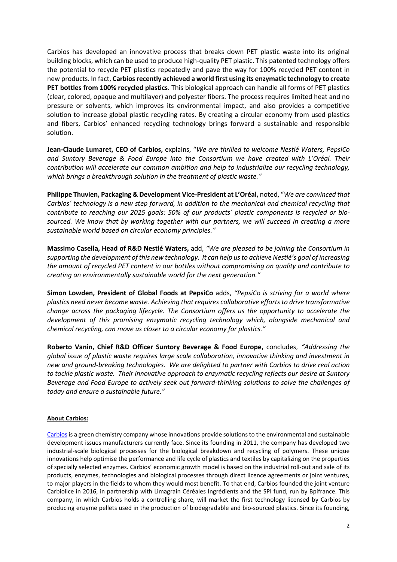Carbios has developed an innovative process that breaks down PET plastic waste into its original building blocks, which can be used to produce high-quality PET plastic. This patented technology offers the potential to recycle PET plastics repeatedly and pave the way for 100% recycled PET content in new products. In fact, **Carbiosrecently achieved a world first using its enzymatic technology to create PET bottles from 100% recycled plastics**. This biological approach can handle all forms of PET plastics (clear, colored, opaque and multilayer) and polyester fibers. The process requires limited heat and no pressure or solvents, which improves its environmental impact, and also provides a competitive solution to increase global plastic recycling rates. By creating a circular economy from used plastics and fibers, Carbios' enhanced recycling technology brings forward a sustainable and responsible solution.

**Jean-Claude Lumaret, CEO of Carbios,** explains, "*We are thrilled to welcome Nestlé Waters, PepsiCo and Suntory Beverage & Food Europe into the Consortium we have created with L'Oréal. Their contribution will accelerate our common ambition and help to industrialize our recycling technology, which brings a breakthrough solution in the treatment of plastic waste."*

**Philippe Thuvien, Packaging & Development Vice-President at L'Oréal,** noted, "*We are convinced that Carbios' technology is a new step forward, in addition to the mechanical and chemical recycling that contribute to reaching our 2025 goals: 50% of our products' plastic components is recycled or biosourced. We know that by working together with our partners, we will succeed in creating a more sustainable world based on circular economy principles."*

**Massimo Casella, Head of R&D Nestlé Waters,** add, *"We are pleased to be joining the Consortium in supporting the development of this new technology. It can help us to achieve Nestlé's goal of increasing the amount of recycled PET content in our bottles without compromising on quality and contribute to creating an environmentally sustainable world for the next generation."*

**Simon Lowden, President of Global Foods at PepsiCo** adds, *"PepsiCo is striving for a world where plastics need never become waste. Achieving that requires collaborative efforts to drive transformative change across the packaging lifecycle. The Consortium offers us the opportunity to accelerate the development of this promising enzymatic recycling technology which, alongside mechanical and chemical recycling, can move us closer to a circular economy for plastics."*

**Roberto Vanin, Chief R&D Officer Suntory Beverage & Food Europe,** concludes, *"Addressing the global issue of plastic waste requires large scale collaboration, innovative thinking and investment in new and ground-breaking technologies. We are delighted to partner with Carbios to drive real action to tackle plastic waste. Their innovative approach to enzymatic recycling reflects our desire at Suntory Beverage and Food Europe to actively seek out forward-thinking solutions to solve the challenges of today and ensure a sustainable future."*

# **About Carbios:**

Carbios is a green chemistry company whose innovations provide solutions to the environmental and sustainable development issues manufacturers currently face. Since its founding in 2011, the company has developed two industrial-scale biological processes for the biological breakdown and recycling of polymers. These unique innovations help optimise the performance and life cycle of plastics and textiles by capitalizing on the properties of specially selected enzymes. Carbios' economic growth model is based on the industrial roll-out and sale of its products, enzymes, technologies and biological processes through direct licence agreements or joint ventures, to major players in the fields to whom they would most benefit. To that end, Carbios founded the joint venture Carbiolice in 2016, in partnership with Limagrain Céréales Ingrédients and the SPI fund, run by Bpifrance. This company, in which Carbios holds a controlling share, will market the first technology licensed by Carbios by producing enzyme pellets used in the production of biodegradable and bio-sourced plastics. Since its founding,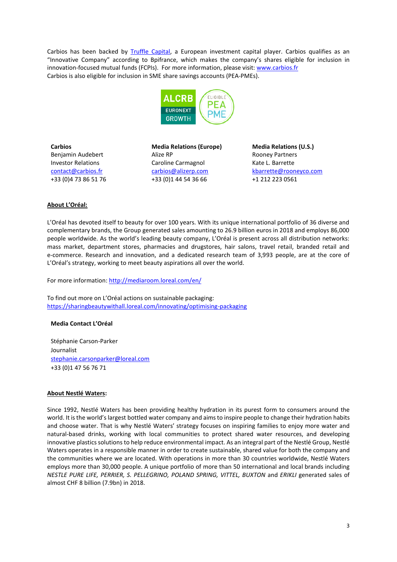Carbios has been backed by Truffle [Capital,](http://www.truffle.com/) a European investment capital player. Carbios qualifies as an "Innovative Company" according to Bpifrance, which makes the company's shares eligible for inclusion in innovation-focused mutual funds (FCPIs). For more information, please visit: [www.carbios.fr](http://www.carbios.fr/) Carbios is also eligible for inclusion in SME share savings accounts (PEA-PMEs).



**Carbios** Benjamin Audebert Investor Relations [contact@carbios.fr](mailto:contact@carbios.fr) +33 (0)4 73 86 51 76

**Media Relations (Europe)** Alize RP Caroline Carmagnol [carbios@alizerp.com](mailto:contact@alizerp.com) +33 (0)1 44 54 36 66

**Media Relations (U.S.)** Rooney Partners Kate L. Barrette [kbarrette@rooneyco.com](mailto:kbarrette@rooneyco.com) +1 212 223 0561

# **About L'Oréal:**

L'Oréal has devoted itself to beauty for over 100 years. With its unique international portfolio of 36 diverse and complementary brands, the Group generated sales amounting to 26.9 billion euros in 2018 and employs 86,000 people worldwide. As the world's leading beauty company, L'Oréal is present across all distribution networks: mass market, department stores, pharmacies and drugstores, hair salons, travel retail, branded retail and e-commerce. Research and innovation, and a dedicated research team of 3,993 people, are at the core of L'Oréal's strategy, working to meet beauty aspirations all over the world.

For more information[: http://mediaroom.loreal.com/en/](http://mediaroom.loreal.com/en/) 

To find out more on L'Oréal actions on sustainable packaging: <https://sharingbeautywithall.loreal.com/innovating/optimising-packaging>

## **Media Contact L'Oréal**

Stéphanie Carson-Parker Journalist [stephanie.carsonparker@loreal.com](mailto:annelaure.richard@loreal.com) +33 (0)1 47 56 76 71

#### **About Nestlé Waters:**

Since 1992, Nestlé Waters has been providing healthy hydration in its purest form to consumers around the world. It isthe world'slargest bottled water company and aimsto inspire people to change their hydration habits and choose water. That is why Nestlé Waters' strategy focuses on inspiring families to enjoy more water and natural-based drinks, working with local communities to protect shared water resources, and developing innovative plastics solutions to help reduce environmental impact. As an integral part of the Nestlé Group, Nestlé Waters operates in a responsible manner in order to create sustainable, shared value for both the company and the communities where we are located. With operations in more than 30 countries worldwide, Nestlé Waters employs more than 30,000 people. A unique portfolio of more than 50 international and local brands including *NESTLE PURE LIFE, PERRIER, S. PELLEGRINO, POLAND SPRING, VITTEL, BUXTON* and *ERIKLI* generated sales of almost CHF 8 billion (7.9bn) in 2018.